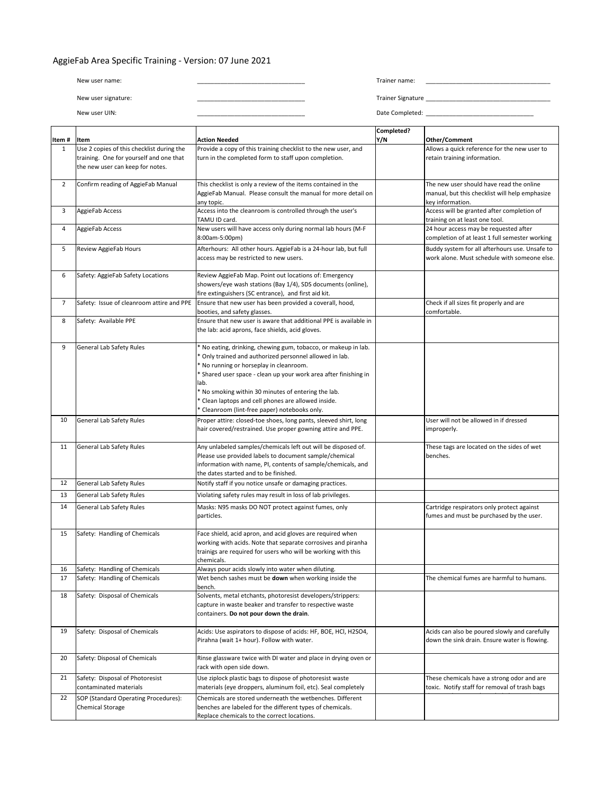## AggieFab Area Specific Training - Version: 07 June 2021

| New user name:      | Trainer name:            |
|---------------------|--------------------------|
|                     |                          |
| New user signature: | <b>Trainer Signature</b> |
| New user UIN:       | Date Completed:          |

|                |                                                           |                                                                                                                                | Completed? |                                                                                             |
|----------------|-----------------------------------------------------------|--------------------------------------------------------------------------------------------------------------------------------|------------|---------------------------------------------------------------------------------------------|
| Item#          | Item                                                      | Action Needed                                                                                                                  | Y/N        | Other/Comment                                                                               |
| $\mathbf{1}$   | Use 2 copies of this checklist during the                 | Provide a copy of this training checklist to the new user, and                                                                 |            | Allows a quick reference for the new user to                                                |
|                | training. One for yourself and one that                   | turn in the completed form to staff upon completion.                                                                           |            | retain training information.                                                                |
|                | the new user can keep for notes.                          |                                                                                                                                |            |                                                                                             |
| $\overline{2}$ | Confirm reading of AggieFab Manual                        | This checklist is only a review of the items contained in the                                                                  |            | The new user should have read the online                                                    |
|                |                                                           | AggieFab Manual. Please consult the manual for more detail on                                                                  |            | manual, but this checklist will help emphasize                                              |
|                |                                                           | any topic.                                                                                                                     |            | key information.                                                                            |
| 3              | AggieFab Access                                           | Access into the cleanroom is controlled through the user's                                                                     |            | Access will be granted after completion of                                                  |
|                |                                                           | TAMU ID card.                                                                                                                  |            | training on at least one tool.                                                              |
| 4              | AggieFab Access                                           | New users will have access only during normal lab hours (M-F                                                                   |            | 24 hour access may be requested after                                                       |
|                |                                                           | 8:00am-5:00pm)                                                                                                                 |            | completion of at least 1 full semester working                                              |
| 5              | Review AggieFab Hours                                     | Afterhours: All other hours. AggieFab is a 24-hour lab, but full                                                               |            | Buddy system for all afterhours use. Unsafe to                                              |
|                |                                                           | access may be restricted to new users.                                                                                         |            | work alone. Must schedule with someone else.                                                |
|                |                                                           |                                                                                                                                |            |                                                                                             |
| 6              | Safety: AggieFab Safety Locations                         | Review AggieFab Map. Point out locations of: Emergency                                                                         |            |                                                                                             |
|                |                                                           | showers/eye wash stations (Bay 1/4), SDS documents (online),                                                                   |            |                                                                                             |
|                |                                                           | fire extinguishers (SC entrance), and first aid kit.                                                                           |            |                                                                                             |
| $\overline{7}$ | Safety: Issue of cleanroom attire and PPE                 | Ensure that new user has been provided a coverall, hood,                                                                       |            | Check if all sizes fit properly and are                                                     |
|                |                                                           | booties, and safety glasses.                                                                                                   |            | comfortable.                                                                                |
| 8              | Safety: Available PPE                                     | Ensure that new user is aware that additional PPE is available in                                                              |            |                                                                                             |
|                |                                                           | the lab: acid aprons, face shields, acid gloves.                                                                               |            |                                                                                             |
| 9              | General Lab Safety Rules                                  | * No eating, drinking, chewing gum, tobacco, or makeup in lab.                                                                 |            |                                                                                             |
|                |                                                           | Only trained and authorized personnel allowed in lab.                                                                          |            |                                                                                             |
|                |                                                           | * No running or horseplay in cleanroom.                                                                                        |            |                                                                                             |
|                |                                                           | Shared user space - clean up your work area after finishing in                                                                 |            |                                                                                             |
|                |                                                           | lab.                                                                                                                           |            |                                                                                             |
|                |                                                           | No smoking within 30 minutes of entering the lab.                                                                              |            |                                                                                             |
|                |                                                           | * Clean laptops and cell phones are allowed inside.                                                                            |            |                                                                                             |
|                |                                                           | * Cleanroom (lint-free paper) notebooks only.                                                                                  |            |                                                                                             |
| 10             | General Lab Safety Rules                                  | Proper attire: closed-toe shoes, long pants, sleeved shirt, long                                                               |            | User will not be allowed in if dressed                                                      |
|                |                                                           | hair covered/restrained. Use proper gowning attire and PPE.                                                                    |            | improperly.                                                                                 |
|                |                                                           |                                                                                                                                |            |                                                                                             |
| 11             | General Lab Safety Rules                                  | Any unlabeled samples/chemicals left out will be disposed of.                                                                  |            | These tags are located on the sides of wet                                                  |
|                |                                                           | Please use provided labels to document sample/chemical                                                                         |            | benches.                                                                                    |
|                |                                                           | information with name, PI, contents of sample/chemicals, and                                                                   |            |                                                                                             |
| 12             | General Lab Safety Rules                                  | the dates started and to be finished.<br>Notify staff if you notice unsafe or damaging practices.                              |            |                                                                                             |
|                |                                                           |                                                                                                                                |            |                                                                                             |
| 13             | General Lab Safety Rules                                  | Violating safety rules may result in loss of lab privileges.                                                                   |            |                                                                                             |
| 14             | General Lab Safety Rules                                  | Masks: N95 masks DO NOT protect against fumes, only                                                                            |            | Cartridge respirators only protect against                                                  |
|                |                                                           | particles.                                                                                                                     |            | fumes and must be purchased by the user.                                                    |
|                |                                                           |                                                                                                                                |            |                                                                                             |
| 15             | Safety: Handling of Chemicals                             | Face shield, acid apron, and acid gloves are required when                                                                     |            |                                                                                             |
|                |                                                           | working with acids. Note that separate corrosives and piranha<br>trainigs are required for users who will be working with this |            |                                                                                             |
|                |                                                           | chemicals.                                                                                                                     |            |                                                                                             |
| 16             | Safety: Handling of Chemicals                             | Always pour acids slowly into water when diluting.                                                                             |            |                                                                                             |
| 17             | Safety: Handling of Chemicals                             | Wet bench sashes must be down when working inside the                                                                          |            | The chemical fumes are harmful to humans.                                                   |
|                |                                                           | bench.                                                                                                                         |            |                                                                                             |
| 18             | Safety: Disposal of Chemicals                             | Solvents, metal etchants, photoresist developers/strippers:                                                                    |            |                                                                                             |
|                |                                                           | capture in waste beaker and transfer to respective waste                                                                       |            |                                                                                             |
|                |                                                           | containers. Do not pour down the drain.                                                                                        |            |                                                                                             |
|                |                                                           |                                                                                                                                |            |                                                                                             |
| 19             | Safety: Disposal of Chemicals                             | Acids: Use aspirators to dispose of acids: HF, BOE, HCl, H2SO4,                                                                |            | Acids can also be poured slowly and carefully                                               |
|                |                                                           | Pirahna (wait 1+ hour). Follow with water.                                                                                     |            | down the sink drain. Ensure water is flowing.                                               |
| 20             | Safety: Disposal of Chemicals                             | Rinse glassware twice with DI water and place in drying oven or                                                                |            |                                                                                             |
|                |                                                           | rack with open side down.                                                                                                      |            |                                                                                             |
| 21             |                                                           | Use ziplock plastic bags to dispose of photoresist waste                                                                       |            |                                                                                             |
|                | Safety: Disposal of Photoresist<br>contaminated materials | materials (eye droppers, aluminum foil, etc). Seal completely                                                                  |            | These chemicals have a strong odor and are<br>toxic. Notify staff for removal of trash bags |
|                |                                                           |                                                                                                                                |            |                                                                                             |
| 22             | SOP (Standard Operating Procedures):                      | Chemicals are stored underneath the wetbenches. Different<br>benches are labeled for the different types of chemicals.         |            |                                                                                             |
|                | Chemical Storage                                          | Replace chemicals to the correct locations.                                                                                    |            |                                                                                             |
|                |                                                           |                                                                                                                                |            |                                                                                             |